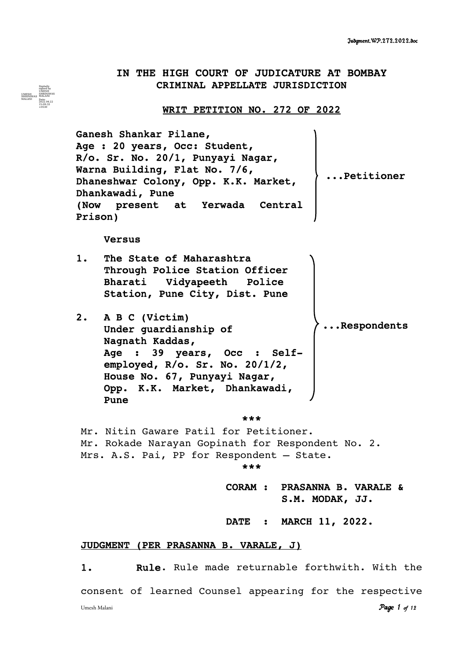# IN THE HIGH COURT OF JUDICATURE AT BOMBAY CRIMINAL APPELLATE JURISDICTION

## WRIT PETITION NO. 272 OF 2022

Ganesh Shankar Pilane, Age : 20 years, Occ: Student, R/o. Sr. No. 20/1, Punyayi Nagar, Warna Building, Flat No. 7/6, Dhaneshwar Colony, Opp. K.K. Market, Dhankawadi, Pune (Now present at Yerwada Central Prison) ...Petitioner

## Versus

UMESH SHRINIWAS MALANI

Digitally signed by UMESH SHRINIWAS MALANI Date: 2022.04.22 15:09:33 +0530

- 1. The State of Maharashtra Through Police Station Officer Bharati Vidyapeeth Police Station, Pune City, Dist. Pune
- 2. A B C (Victim) Under guardianship of Nagnath Kaddas, Age : 39 years, Occ : Selfemployed, R/o. Sr. No. 20/1/2, House No. 67, Punyayi Nagar, Opp. K.K. Market, Dhankawadi, Pune .Respondents

### \*\*\*

Mr. Nitin Gaware Patil for Petitioner. Mr. Rokade Narayan Gopinath for Respondent No. 2. Mrs. A.S. Pai, PP for Respondent – State. \*\*\*

CORAM : PRASANNA B. VARALE &

S.M. MODAK, JJ.

DATE : MARCH 11, 2022.

## JUDGMENT (PER PRASANNA B. VARALE, J)

1. Rule. Rule made returnable forthwith. With the consent of learned Counsel appearing for the respective Umesh Malani *Page 1 of 12*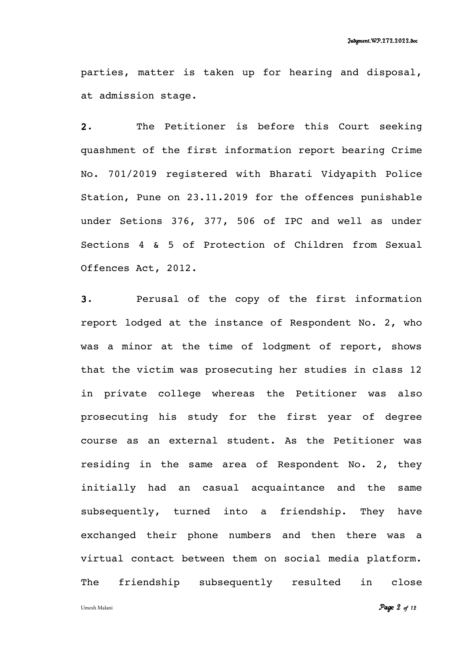parties, matter is taken up for hearing and disposal, at admission stage.

2. The Petitioner is before this Court seeking quashment of the first information report bearing Crime No. 701/2019 registered with Bharati Vidyapith Police Station, Pune on 23.11.2019 for the offences punishable under Setions 376, 377, 506 of IPC and well as under Sections 4 & 5 of Protection of Children from Sexual Offences Act, 2012.

3. Perusal of the copy of the first information report lodged at the instance of Respondent No. 2, who was a minor at the time of lodgment of report, shows that the victim was prosecuting her studies in class 12 in private college whereas the Petitioner was also prosecuting his study for the first year of degree course as an external student. As the Petitioner was residing in the same area of Respondent No. 2, they initially had an casual acquaintance and the same subsequently, turned into a friendship. They have exchanged their phone numbers and then there was a virtual contact between them on social media platform. The friendship subsequently resulted in close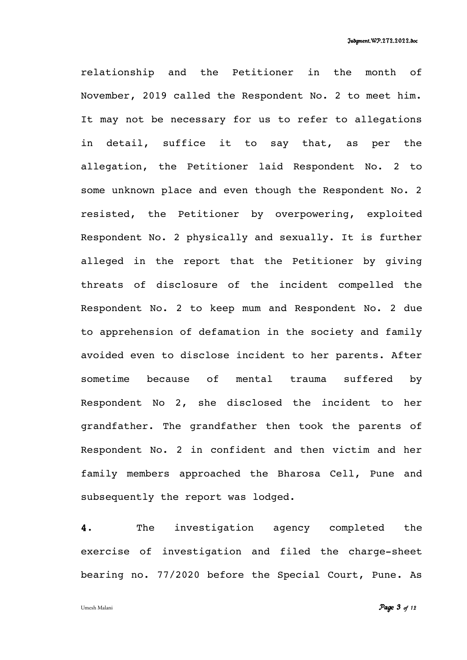relationship and the Petitioner in the month of November, 2019 called the Respondent No. 2 to meet him. It may not be necessary for us to refer to allegations in detail, suffice it to say that, as per the allegation, the Petitioner laid Respondent No. 2 to some unknown place and even though the Respondent No. 2 resisted, the Petitioner by overpowering, exploited Respondent No. 2 physically and sexually. It is further alleged in the report that the Petitioner by giving threats of disclosure of the incident compelled the Respondent No. 2 to keep mum and Respondent No. 2 due to apprehension of defamation in the society and family avoided even to disclose incident to her parents. After sometime because of mental trauma suffered by Respondent No 2, she disclosed the incident to her grandfather. The grandfather then took the parents of Respondent No. 2 in confident and then victim and her family members approached the Bharosa Cell, Pune and subsequently the report was lodged.

4. The investigation agency completed the exercise of investigation and filed the charge-sheet bearing no. 77/2020 before the Special Court, Pune. As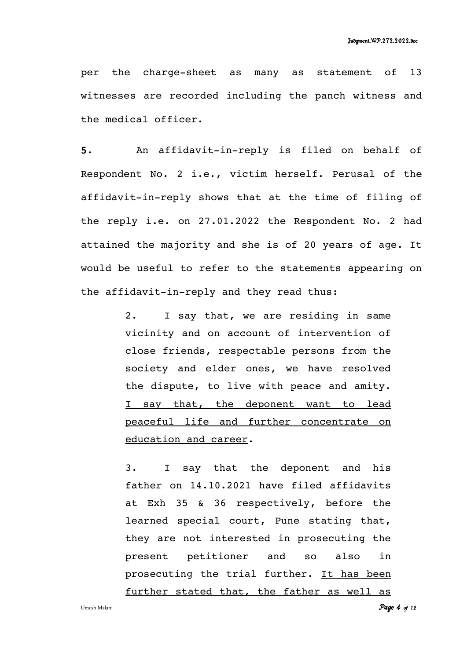per the charge-sheet as many as statement of 13 witnesses are recorded including the panch witness and the medical officer.

5. An affidavit-in-reply is filed on behalf of Respondent No. 2 i.e., victim herself. Perusal of the affidavit-in-reply shows that at the time of filing of the reply i.e. on 27.01.2022 the Respondent No. 2 had attained the majority and she is of 20 years of age. It would be useful to refer to the statements appearing on the affidavit-in-reply and they read thus:

> 2. I say that, we are residing in same vicinity and on account of intervention of close friends, respectable persons from the society and elder ones, we have resolved the dispute, to live with peace and amity. I say that, the deponent want to lead peaceful life and further concentrate on education and career.

> 3. I say that the deponent and his father on 14.10.2021 have filed affidavits at Exh 35 & 36 respectively, before the learned special court, Pune stating that, they are not interested in prosecuting the present petitioner and so also in prosecuting the trial further. It has been further stated that, the father as well as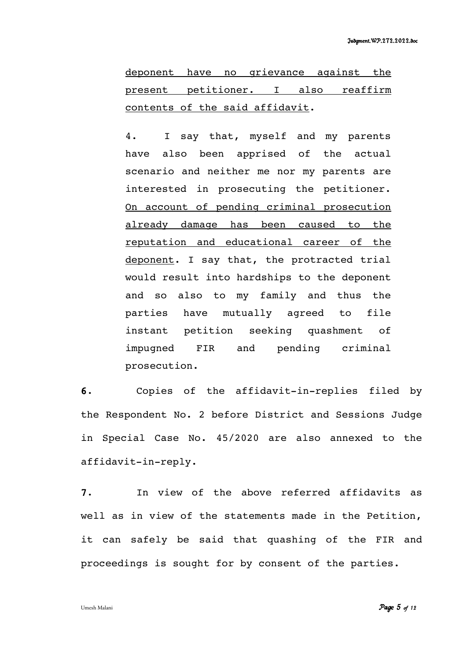deponent have no grievance against the present petitioner. I also reaffirm contents of the said affidavit.

4. I say that, myself and my parents have also been apprised of the actual scenario and neither me nor my parents are interested in prosecuting the petitioner. On account of pending criminal prosecution already damage has been caused to the reputation and educational career of the deponent. I say that, the protracted trial would result into hardships to the deponent and so also to my family and thus the parties have mutually agreed to file instant petition seeking quashment of impugned FIR and pending criminal prosecution.

6. Copies of the affidavit-in-replies filed by the Respondent No. 2 before District and Sessions Judge in Special Case No. 45/2020 are also annexed to the affidavit-in-reply.

7. In view of the above referred affidavits as well as in view of the statements made in the Petition, it can safely be said that quashing of the FIR and proceedings is sought for by consent of the parties.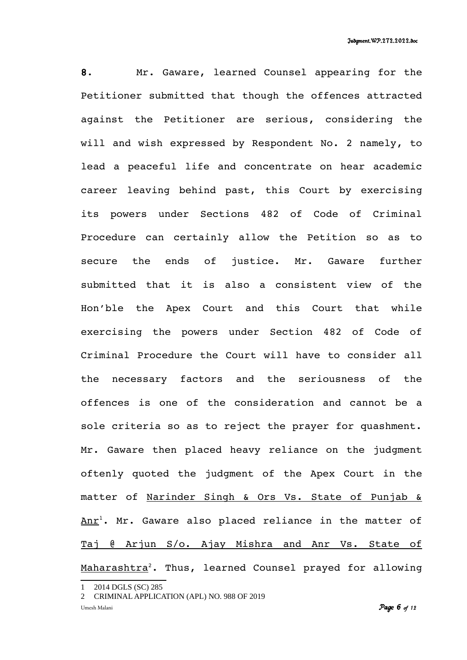8. Mr. Gaware, learned Counsel appearing for the Petitioner submitted that though the offences attracted against the Petitioner are serious, considering the will and wish expressed by Respondent No. 2 namely, to lead a peaceful life and concentrate on hear academic career leaving behind past, this Court by exercising its powers under Sections 482 of Code of Criminal Procedure can certainly allow the Petition so as to secure the ends of justice. Mr. Gaware further submitted that it is also a consistent view of the Hon'ble the Apex Court and this Court that while exercising the powers under Section 482 of Code of Criminal Procedure the Court will have to consider all the necessary factors and the seriousness of the offences is one of the consideration and cannot be a sole criteria so as to reject the prayer for quashment. Mr. Gaware then placed heavy reliance on the judgment oftenly quoted the judgment of the Apex Court in the matter of Narinder Singh & Ors Vs. State of Punjab &  $Anr<sup>1</sup>$  $Anr<sup>1</sup>$  $Anr<sup>1</sup>$ . Mr. Gaware also placed reliance in the matter of Taj @ Arjun S/o. Ajay Mishra and Anr Vs. State of Maharashtra<sup>[2](#page-5-1)</sup>. Thus, learned Counsel prayed for allowing

<span id="page-5-0"></span><sup>2014</sup> DGLS (SC) 285

<span id="page-5-1"></span><sup>2</sup> CRIMINAL APPLICATION (APL) NO. 988 OF 2019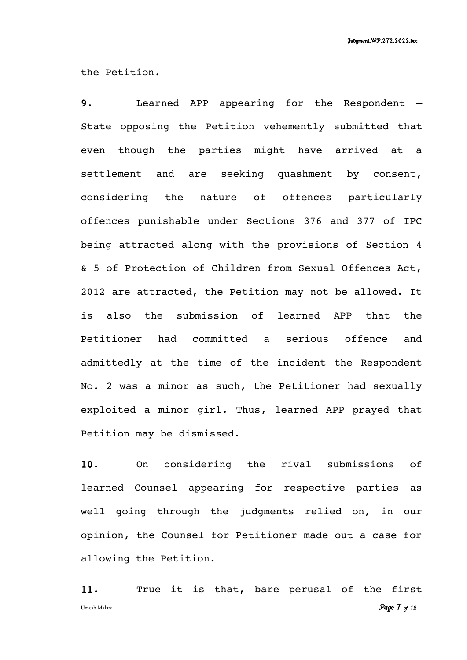the Petition.

9. Learned APP appearing for the Respondent – State opposing the Petition vehemently submitted that even though the parties might have arrived at a settlement and are seeking quashment by consent, considering the nature of offences particularly offences punishable under Sections 376 and 377 of IPC being attracted along with the provisions of Section 4 & 5 of Protection of Children from Sexual Offences Act, 2012 are attracted, the Petition may not be allowed. It is also the submission of learned APP that the Petitioner had committed a serious offence and admittedly at the time of the incident the Respondent No. 2 was a minor as such, the Petitioner had sexually exploited a minor girl. Thus, learned APP prayed that Petition may be dismissed.

10. On considering the rival submissions of learned Counsel appearing for respective parties as well going through the judgments relied on, in our opinion, the Counsel for Petitioner made out a case for allowing the Petition.

11. True it is that, bare perusal of the first Umesh Malani *Page 7 of 12*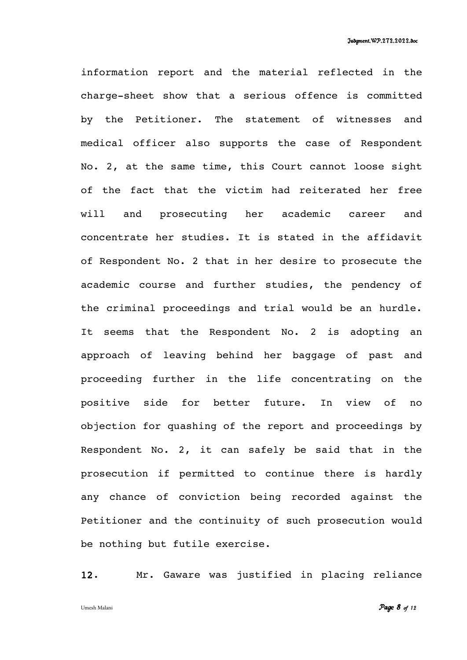information report and the material reflected in the charge-sheet show that a serious offence is committed by the Petitioner. The statement of witnesses and medical officer also supports the case of Respondent No. 2, at the same time, this Court cannot loose sight of the fact that the victim had reiterated her free will and prosecuting her academic career and concentrate her studies. It is stated in the affidavit of Respondent No. 2 that in her desire to prosecute the academic course and further studies, the pendency of the criminal proceedings and trial would be an hurdle. It seems that the Respondent No. 2 is adopting an approach of leaving behind her baggage of past and proceeding further in the life concentrating on the positive side for better future. In view of no objection for quashing of the report and proceedings by Respondent No. 2, it can safely be said that in the prosecution if permitted to continue there is hardly any chance of conviction being recorded against the Petitioner and the continuity of such prosecution would be nothing but futile exercise.

12. Mr. Gaware was justified in placing reliance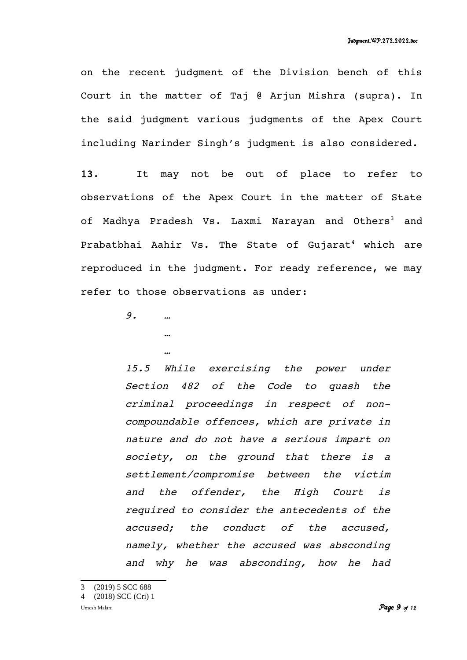on the recent judgment of the Division bench of this Court in the matter of Taj @ Arjun Mishra (supra). In the said judgment various judgments of the Apex Court including Narinder Singh's judgment is also considered.

13. It may not be out of place to refer to observations of the Apex Court in the matter of State of Madhya Pradesh Vs. Laxmi Narayan and Others<sup>[3](#page-8-0)</sup> and Prabatbhai Aahir Vs. The State of Gujarat<sup>[4](#page-8-1)</sup> which are reproduced in the judgment. For ready reference, we may refer to those observations as under:

9. …

…

…

15.5 While exercising the power under Section <sup>482</sup> of the Code to quash the criminal proceedings in respect of noncompoundable offences, which are private in nature and do not have a serious impart on society, on the ground that there is <sup>a</sup> settlement/compromise between the victim and the offender, the High Court is required to consider the antecedents of the accused; the conduct of the accused, namely, whether the accused was absconding and why he was absconding, how he had

<span id="page-8-0"></span>3 (2019) 5 SCC 688

<span id="page-8-1"></span><sup>4</sup> (2018) SCC (Cri) 1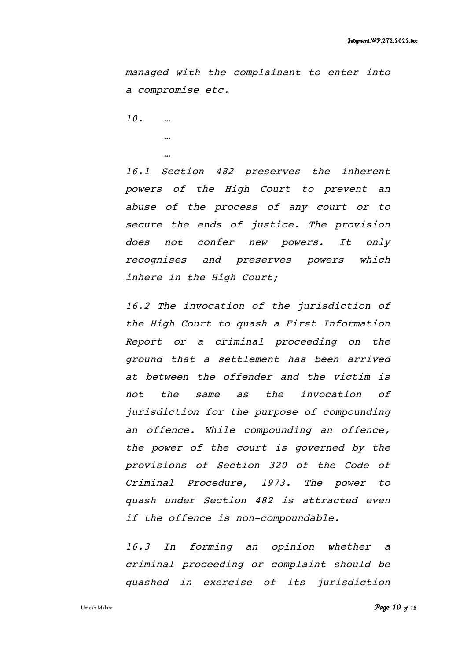managed with the complainant to enter into a compromise etc.

10. …

… …

16.1 Section <sup>482</sup> preserves the inherent powers of the High Court to prevent an abuse of the process of any court or to secure the ends of justice. The provision does not confer new powers. It only recognises and preserves powers which inhere in the High Court;

16.2 The invocation of the jurisdiction of the High Court to quash a First Information Report or <sup>a</sup> criminal proceeding on the ground that a settlement has been arrived at between the offender and the victim is not the same as the invocation of jurisdiction for the purpose of compounding an offence. While compounding an offence, the power of the court is governed by the provisions of Section <sup>320</sup> of the Code of Criminal Procedure, 1973. The power to quash under Section 482 is attracted even if the offence is non-compoundable.

16.3 In forming an opinion whether <sup>a</sup> criminal proceeding or complaint should be quashed in exercise of its jurisdiction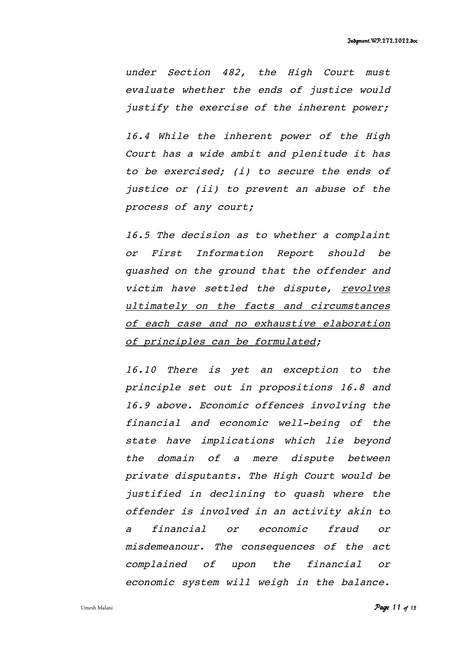under Section 482, the High Court must evaluate whether the ends of justice would justify the exercise of the inherent power;

16.4 While the inherent power of the High Court has a wide ambit and plenitude it has to be exercised; (i) to secure the ends of justice or (ii) to prevent an abuse of the process of any court;

16.5 The decision as to whether a complaint or First Information Report should be quashed on the ground that the offender and victim have settled the dispute, revolves ultimately on the facts and circumstances of each case and no exhaustive elaboration of principles can be formulated;

16.10 There is yet an exception to the principle set out in propositions 16.8 and 16.9 above. Economic offences involving the financial and economic well-being of the state have implications which lie beyond the domain of <sup>a</sup> mere dispute between private disputants. The High Court would be justified in declining to quash where the offender is involved in an activity akin to <sup>a</sup> financial or economic fraud or misdemeanour. The consequences of the act complained of upon the financial or economic system will weigh in the balance.